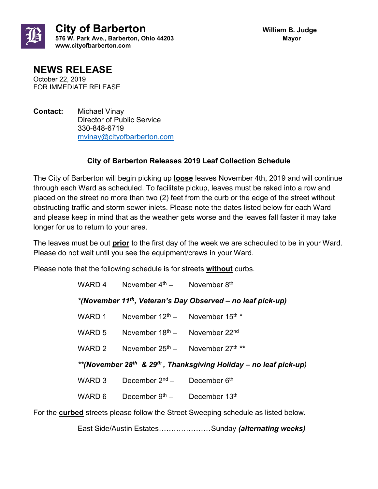

## **NEWS RELEASE**

October 22, 2019 FOR IMMEDIATE RELEASE

**Contact:** Michael Vinay Director of Public Service 330-848-6719 [mvinay@cityofbarberton.com](mailto:mvinay@cityofbarberton.com) 

## **City of Barberton Releases 2019 Leaf Collection Schedule**

The City of Barberton will begin picking up **loose** leaves November 4th, 2019 and will continue through each Ward as scheduled. To facilitate pickup, leaves must be raked into a row and placed on the street no more than two (2) feet from the curb or the edge of the street without obstructing traffic and storm sewer inlets. Please note the dates listed below for each Ward and please keep in mind that as the weather gets worse and the leaves fall faster it may take longer for us to return to your area.

The leaves must be out **prior** to the first day of the week we are scheduled to be in your Ward. Please do not wait until you see the equipment/crews in your Ward.

Please note that the following schedule is for streets **without** curbs.

|                                                                                           | WARD 4 | November $4th$ - November $8th$            |               |  |
|-------------------------------------------------------------------------------------------|--------|--------------------------------------------|---------------|--|
| *(November 11 <sup>th</sup> , Veteran's Day Observed - no leaf pick-up)                   |        |                                            |               |  |
|                                                                                           | WARD 1 | November $12^{th}$ – November $15^{th}$ *  |               |  |
|                                                                                           | WARD 5 | November $18th$ – November $22nd$          |               |  |
|                                                                                           | WARD 2 | November $25^{th}$ – November $27^{th}$ ** |               |  |
| **(November 28 <sup>th</sup> & 29 <sup>th</sup> , Thanksgiving Holiday – no leaf pick-up) |        |                                            |               |  |
|                                                                                           | WARD 3 | December $2nd$ –                           | December 6th  |  |
|                                                                                           | WARD 6 | December $9th$ –                           | December 13th |  |
| For the curbed streets please follow the Street Sweeping schedule as listed below.        |        |                                            |               |  |
|                                                                                           |        |                                            |               |  |

East Side/Austin Estates…………………Sunday *(alternating weeks)*